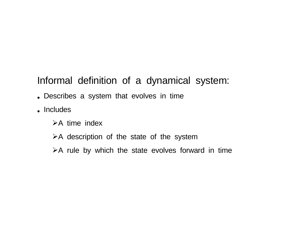## Informal definition of a dynamical system:

- Describes a system that evolves in time
- Includes
	- $\triangleright$ A time index
	- $\triangleright$ A description of the state of the system
	- $\triangleright$  A rule by which the state evolves forward in time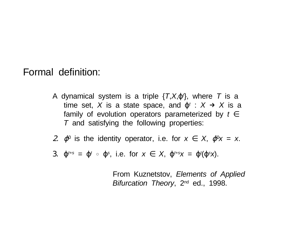## Formal definition:

- A dynamical system is a triple  $\{T, X, \phi\}$ , where  $T$  is a time set, X is a state space, and  $\varphi^t$  :  $X \rightarrow X$  is a family of evolution operators parameterized by  $t \in$ T and satisfying the following properties:
- 2.  $\varphi^0$  is the identity operator, i.e. for  $x \in X$ ,  $\varphi^0 x = x$ .
- 3.  $\varphi^{t+s} = \varphi^t \circ \varphi^s$ , i.e. for  $x \in X$ ,  $\varphi^{t+s}x = \varphi^t(\varphi^s x)$ .

From Kuznetstov, Elements of Applied Bifurcation Theory, 2<sup>nd</sup> ed., 1998.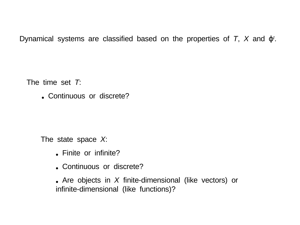Dynamical systems are classified based on the properties of  $T$ ,  $X$  and  $\varphi^t$ .

The time set T:

• Continuous or discrete?

The state space X:

- Finite or infinite?
- Continuous or discrete?

• Are objects in X finite-dimensional (like vectors) or infinite-dimensional (like functions)?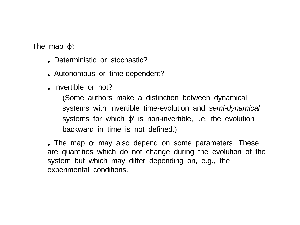The map  $\varphi^t$ :

- Deterministic or stochastic?
- Autonomous or time-dependent?
- Invertible or not?

(Some authors make a distinction between dynamical systems with invertible time-evolution and semi-dynamical systems for which  $\varphi^t$  is non-invertible, i.e. the evolution backward in time is not defined.)

• The map  $\varphi^t$  may also depend on some parameters. These are quantities which do not change during the evolution of the system but which may differ depending on, e.g., the experimental conditions.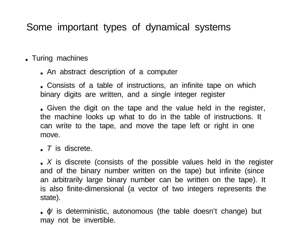## Some important types of dynamical systems

- Turing machines
	- An abstract description of a computer

• Consists of a table of instructions, an infinite tape on which binary digits are written, and a single integer register

• Given the digit on the tape and the value held in the register, the machine looks up what to do in the table of instructions. It can write to the tape, and move the tape left or right in one move.

 $\bullet$  T is discrete.

•  $X$  is discrete (consists of the possible values held in the register and of the binary number written on the tape) but infinite (since an arbitrarily large binary number can be written on the tape). It is also finite-dimensional (a vector of two integers represents the state).

 $\bullet$   $\varphi^t$  is deterministic, autonomous (the table doesn't change) but may not be invertible.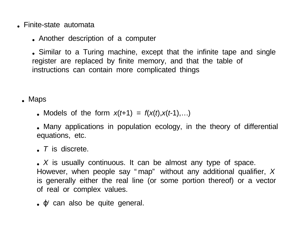- Finite-state automata
	- Another description of a computer

• Similar to a Turing machine, except that the infinite tape and single register are replaced by finite memory, and that the table of instructions can contain more complicated things

• Maps

- Models of the form  $x(t+1) = f(x(t),x(t-1),\ldots)$
- Many applications in population ecology, in the theory of differential equations, etc.
- $\bullet$  T is discrete.

•  $X$  is usually continuous. It can be almost any type of space. However, when people say " map" without any additional qualifier, X is generally either the real line (or some portion thereof) or a vector of real or complex values.

 $\bullet$   $\varphi^t$  can also be quite general.